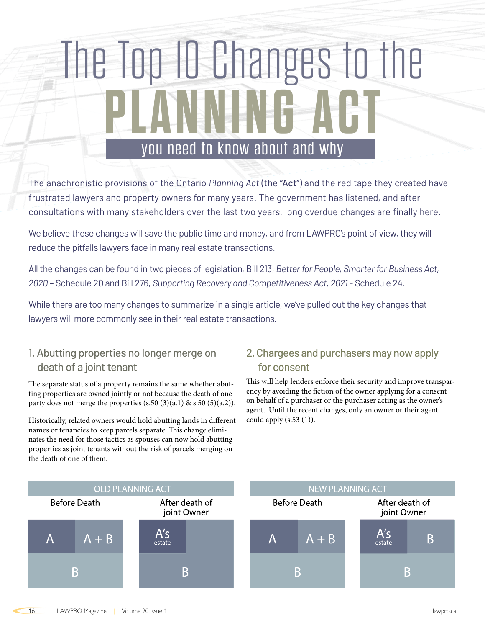# The Top 10 Changes to the **PLANNING ACT** you need to know about and why

The anachronistic provisions of the Ontario *Planning Act* (the "Act") and the red tape they created have frustrated lawyers and property owners for many years. The government has listened, and after consultations with many stakeholders over the last two years, long overdue changes are finally here.

We believe these changes will save the public time and money, and from LAWPRO's point of view, they will reduce the pitfalls lawyers face in many real estate transactions.

All the changes can be found in two pieces of legislation, Bill 213, *Better for People, Smarter for Business Act, 2020* – Schedule 20 and Bill 276, *Supporting Recovery and Competitiveness Act, 2021* - Schedule 24.

While there are too many changes to summarize in a single article, we've pulled out the key changes that lawyers will more commonly see in their real estate transactions.

## 1. Abutting properties no longer merge on death of a joint tenant

The separate status of a property remains the same whether abutting properties are owned jointly or not because the death of one party does not merge the properties  $(s.50 (3)(a.1) \& s.50 (5)(a.2)).$ 

Historically, related owners would hold abutting lands in different names or tenancies to keep parcels separate. This change eliminates the need for those tactics as spouses can now hold abutting properties as joint tenants without the risk of parcels merging on the death of one of them.

## 2. Chargees and purchasers may now apply for consent

This will help lenders enforce their security and improve transparency by avoiding the fiction of the owner applying for a consent on behalf of a purchaser or the purchaser acting as the owner's agent. Until the recent changes, only an owner or their agent could apply  $(s.53(1))$ .